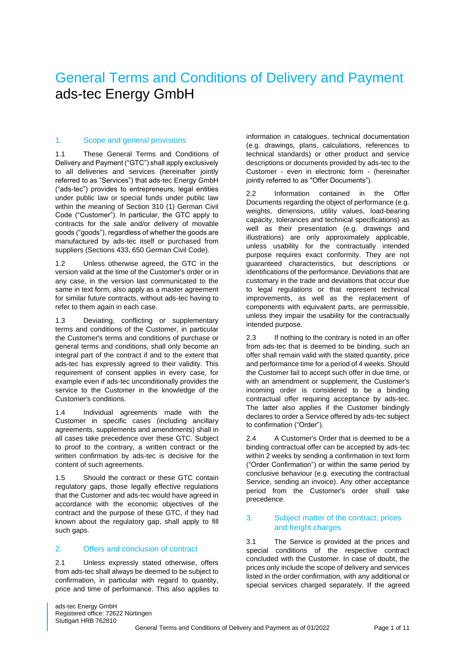# General Terms and Conditions of Delivery and Payment ads-tec Energy GmbH

#### 1. Scope and general provisions

1.1 These General Terms and Conditions of Delivery and Payment ("GTC") shall apply exclusively to all deliveries and services (hereinafter jointly referred to as "Services") that ads-tec Energy GmbH ("ads-tec") provides to entrepreneurs, legal entities under public law or special funds under public law within the meaning of Section 310 (1) German Civil Code ("Customer"). In particular, the GTC apply to contracts for the sale and/or delivery of movable goods ("goods"), regardless of whether the goods are manufactured by ads-tec itself or purchased from suppliers (Sections 433, 650 German Civil Code).

1.2 Unless otherwise agreed, the GTC in the version valid at the time of the Customer's order or in any case, in the version last communicated to the same in text form, also apply as a master agreement for similar future contracts, without ads-tec having to refer to them again in each case.

1.3 Deviating, conflicting or supplementary terms and conditions of the Customer, in particular the Customer's terms and conditions of purchase or general terms and conditions, shall only become an integral part of the contract if and to the extent that ads-tec has expressly agreed to their validity. This requirement of consent applies in every case, for example even if ads-tec unconditionally provides the service to the Customer in the knowledge of the Customer's conditions.

1.4 Individual agreements made with the Customer in specific cases (including ancillary agreements, supplements and amendments) shall in all cases take precedence over these GTC. Subject to proof to the contrary, a written contract or the written confirmation by ads-tec is decisive for the content of such agreements.

1.5 Should the contract or these GTC contain regulatory gaps, those legally effective regulations that the Customer and ads-tec would have agreed in accordance with the economic objectives of the contract and the purpose of these GTC, if they had known about the regulatory gap, shall apply to fill such gaps.

#### 2. Offers and conclusion of contract

2.1 Unless expressly stated otherwise, offers from ads-tec shall always be deemed to be subject to confirmation, in particular with regard to quantity, price and time of performance. This also applies to

information in catalogues, technical documentation (e.g. drawings, plans, calculations, references to technical standards) or other product and service descriptions or documents provided by ads-tec to the Customer - even in electronic form - (hereinafter jointly referred to as "Offer Documents").

2.2 Information contained in the Offer Documents regarding the object of performance (e.g. weights, dimensions, utility values, load-bearing capacity, tolerances and technical specifications) as well as their presentation (e.g. drawings and illustrations) are only approximately applicable, unless usability for the contractually intended purpose requires exact conformity. They are not guaranteed characteristics, but descriptions or identifications of the performance. Deviations that are customary in the trade and deviations that occur due to legal regulations or that represent technical improvements, as well as the replacement of components with equivalent parts, are permissible, unless they impair the usability for the contractually intended purpose.

2.3 If nothing to the contrary is noted in an offer from ads-tec that is deemed to be binding, such an offer shall remain valid with the stated quantity, price and performance time for a period of 4 weeks. Should the Customer fail to accept such offer in due time, or with an amendment or supplement, the Customer's incoming order is considered to be a binding contractual offer requiring acceptance by ads-tec. The latter also applies if the Customer bindingly declares to order a Service offered by ads-tec subject to confirmation ("Order").

2.4 A Customer's Order that is deemed to be a binding contractual offer can be accepted by ads-tec within 2 weeks by sending a confirmation in text form ("Order Confirmation") or within the same period by conclusive behaviour (e.g. executing the contractual Service, sending an invoice). Any other acceptance period from the Customer's order shall take precedence.

# 3. Subject matter of the contract, prices and freight charges

3.1 The Service is provided at the prices and special conditions of the respective contract concluded with the Customer. In case of doubt, the prices only include the scope of delivery and services listed in the order confirmation, with any additional or special services charged separately. If the agreed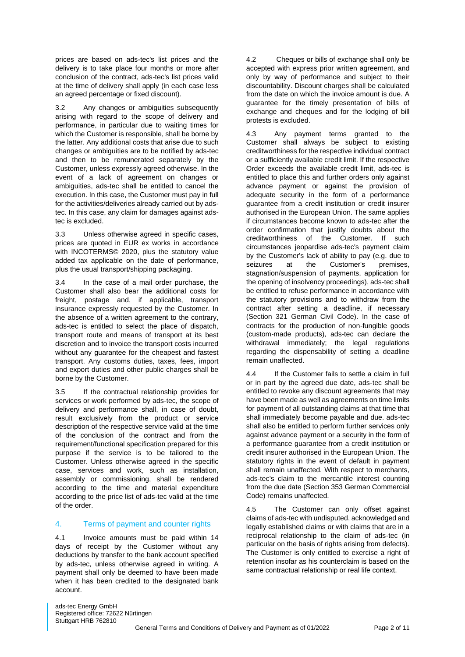prices are based on ads-tec's list prices and the delivery is to take place four months or more after conclusion of the contract, ads-tec's list prices valid at the time of delivery shall apply (in each case less an agreed percentage or fixed discount).

3.2 Any changes or ambiguities subsequently arising with regard to the scope of delivery and performance, in particular due to waiting times for which the Customer is responsible, shall be borne by the latter. Any additional costs that arise due to such changes or ambiguities are to be notified by ads-tec and then to be remunerated separately by the Customer, unless expressly agreed otherwise. In the event of a lack of agreement on changes or ambiguities, ads-tec shall be entitled to cancel the execution. In this case, the Customer must pay in full for the activities/deliveries already carried out by adstec. In this case, any claim for damages against adstec is excluded.

3.3 Unless otherwise agreed in specific cases, prices are quoted in EUR ex works in accordance with INCOTERMS© 2020, plus the statutory value added tax applicable on the date of performance, plus the usual transport/shipping packaging.

3.4 In the case of a mail order purchase, the Customer shall also bear the additional costs for freight, postage and, if applicable, transport insurance expressly requested by the Customer. In the absence of a written agreement to the contrary, ads-tec is entitled to select the place of dispatch, transport route and means of transport at its best discretion and to invoice the transport costs incurred without any guarantee for the cheapest and fastest transport. Any customs duties, taxes, fees, import and export duties and other public charges shall be borne by the Customer.

3.5 If the contractual relationship provides for services or work performed by ads-tec, the scope of delivery and performance shall, in case of doubt, result exclusively from the product or service description of the respective service valid at the time of the conclusion of the contract and from the requirement/functional specification prepared for this purpose if the service is to be tailored to the Customer. Unless otherwise agreed in the specific case, services and work, such as installation, assembly or commissioning, shall be rendered according to the time and material expenditure according to the price list of ads-tec valid at the time of the order.

# 4. Terms of payment and counter rights

4.1 Invoice amounts must be paid within 14 days of receipt by the Customer without any deductions by transfer to the bank account specified by ads-tec, unless otherwise agreed in writing. A payment shall only be deemed to have been made when it has been credited to the designated bank account.

4.2 Cheques or bills of exchange shall only be accepted with express prior written agreement, and only by way of performance and subject to their discountability. Discount charges shall be calculated from the date on which the invoice amount is due. A guarantee for the timely presentation of bills of exchange and cheques and for the lodging of bill protests is excluded.

4.3 Any payment terms granted to the Customer shall always be subject to existing creditworthiness for the respective individual contract or a sufficiently available credit limit. If the respective Order exceeds the available credit limit, ads-tec is entitled to place this and further orders only against advance payment or against the provision of adequate security in the form of a performance guarantee from a credit institution or credit insurer authorised in the European Union. The same applies if circumstances become known to ads-tec after the order confirmation that justify doubts about the creditworthiness of the Customer. If such circumstances jeopardise ads-tec's payment claim by the Customer's lack of ability to pay (e.g. due to seizures at the Customer's premises, stagnation/suspension of payments, application for the opening of insolvency proceedings), ads-tec shall be entitled to refuse performance in accordance with the statutory provisions and to withdraw from the contract after setting a deadline, if necessary (Section 321 German Civil Code). In the case of contracts for the production of non-fungible goods (custom-made products), ads-tec can declare the withdrawal immediately; the legal regulations regarding the dispensability of setting a deadline remain unaffected.

4.4 If the Customer fails to settle a claim in full or in part by the agreed due date, ads-tec shall be entitled to revoke any discount agreements that may have been made as well as agreements on time limits for payment of all outstanding claims at that time that shall immediately become payable and due. ads-tec shall also be entitled to perform further services only against advance payment or a security in the form of a performance guarantee from a credit institution or credit insurer authorised in the European Union. The statutory rights in the event of default in payment shall remain unaffected. With respect to merchants, ads-tec's claim to the mercantile interest counting from the due date (Section 353 German Commercial Code) remains unaffected.

4.5 The Customer can only offset against claims of ads-tec with undisputed, acknowledged and legally established claims or with claims that are in a reciprocal relationship to the claim of ads-tec (in particular on the basis of rights arising from defects). The Customer is only entitled to exercise a right of retention insofar as his counterclaim is based on the same contractual relationship or real life context.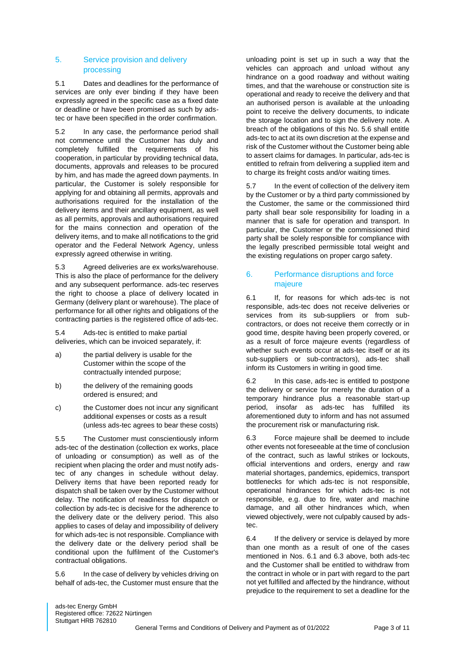## 5. Service provision and delivery processing

5.1 Dates and deadlines for the performance of services are only ever binding if they have been expressly agreed in the specific case as a fixed date or deadline or have been promised as such by adstec or have been specified in the order confirmation.

5.2 In any case, the performance period shall not commence until the Customer has duly and completely fulfilled the requirements of his cooperation, in particular by providing technical data, documents, approvals and releases to be procured by him, and has made the agreed down payments. In particular, the Customer is solely responsible for applying for and obtaining all permits, approvals and authorisations required for the installation of the delivery items and their ancillary equipment, as well as all permits, approvals and authorisations required for the mains connection and operation of the delivery items, and to make all notifications to the grid operator and the Federal Network Agency, unless expressly agreed otherwise in writing.

5.3 Agreed deliveries are ex works/warehouse. This is also the place of performance for the delivery and any subsequent performance. ads-tec reserves the right to choose a place of delivery located in Germany (delivery plant or warehouse). The place of performance for all other rights and obligations of the contracting parties is the registered office of ads-tec.

5.4 Ads-tec is entitled to make partial deliveries, which can be invoiced separately, if:

- a) the partial delivery is usable for the Customer within the scope of the contractually intended purpose;
- b) the delivery of the remaining goods ordered is ensured; and
- c) the Customer does not incur any significant additional expenses or costs as a result (unless ads-tec agrees to bear these costs)

5.5 The Customer must conscientiously inform ads-tec of the destination (collection ex works, place of unloading or consumption) as well as of the recipient when placing the order and must notify adstec of any changes in schedule without delay. Delivery items that have been reported ready for dispatch shall be taken over by the Customer without delay. The notification of readiness for dispatch or collection by ads-tec is decisive for the adherence to the delivery date or the delivery period. This also applies to cases of delay and impossibility of delivery for which ads-tec is not responsible. Compliance with the delivery date or the delivery period shall be conditional upon the fulfilment of the Customer's contractual obligations.

5.6 In the case of delivery by vehicles driving on behalf of ads-tec, the Customer must ensure that the

unloading point is set up in such a way that the vehicles can approach and unload without any hindrance on a good roadway and without waiting times, and that the warehouse or construction site is operational and ready to receive the delivery and that an authorised person is available at the unloading point to receive the delivery documents, to indicate the storage location and to sign the delivery note. A breach of the obligations of this No. 5.6 shall entitle ads-tec to act at its own discretion at the expense and risk of the Customer without the Customer being able to assert claims for damages. In particular, ads-tec is entitled to refrain from delivering a supplied item and to charge its freight costs and/or waiting times.

5.7 In the event of collection of the delivery item by the Customer or by a third party commissioned by the Customer, the same or the commissioned third party shall bear sole responsibility for loading in a manner that is safe for operation and transport. In particular, the Customer or the commissioned third party shall be solely responsible for compliance with the legally prescribed permissible total weight and the existing regulations on proper cargo safety.

# 6. Performance disruptions and force majeure

6.1 If, for reasons for which ads-tec is not responsible, ads-tec does not receive deliveries or services from its sub-suppliers or from subcontractors, or does not receive them correctly or in good time, despite having been properly covered, or as a result of force majeure events (regardless of whether such events occur at ads-tec itself or at its sub-suppliers or sub-contractors), ads-tec shall inform its Customers in writing in good time.

6.2 In this case, ads-tec is entitled to postpone the delivery or service for merely the duration of a temporary hindrance plus a reasonable start-up period, insofar as ads-tec has fulfilled its aforementioned duty to inform and has not assumed the procurement risk or manufacturing risk.

6.3 Force majeure shall be deemed to include other events not foreseeable at the time of conclusion of the contract, such as lawful strikes or lockouts, official interventions and orders, energy and raw material shortages, pandemics, epidemics, transport bottlenecks for which ads-tec is not responsible, operational hindrances for which ads-tec is not responsible, e.g. due to fire, water and machine damage, and all other hindrances which, when viewed objectively, were not culpably caused by adstec.

6.4 If the delivery or service is delayed by more than one month as a result of one of the cases mentioned in Nos. 6.1 and 6.3 above, both ads-tec and the Customer shall be entitled to withdraw from the contract in whole or in part with regard to the part not yet fulfilled and affected by the hindrance, without prejudice to the requirement to set a deadline for the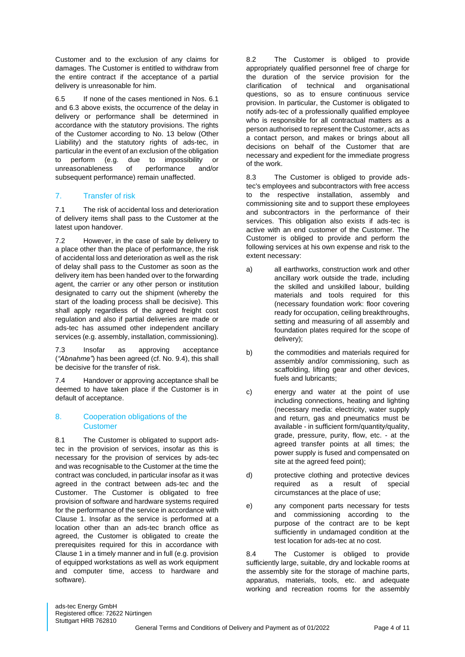Customer and to the exclusion of any claims for damages. The Customer is entitled to withdraw from the entire contract if the acceptance of a partial delivery is unreasonable for him.

6.5 If none of the cases mentioned in Nos. 6.1 and 6.3 above exists, the occurrence of the delay in delivery or performance shall be determined in accordance with the statutory provisions. The rights of the Customer according to No. 13 below (Other Liability) and the statutory rights of ads-tec, in particular in the event of an exclusion of the obligation to perform (e.g. due to impossibility or unreasonableness of performance and/or subsequent performance) remain unaffected.

# 7. Transfer of risk

7.1 The risk of accidental loss and deterioration of delivery items shall pass to the Customer at the latest upon handover.

7.2 However, in the case of sale by delivery to a place other than the place of performance, the risk of accidental loss and deterioration as well as the risk of delay shall pass to the Customer as soon as the delivery item has been handed over to the forwarding agent, the carrier or any other person or institution designated to carry out the shipment (whereby the start of the loading process shall be decisive). This shall apply regardless of the agreed freight cost regulation and also if partial deliveries are made or ads-tec has assumed other independent ancillary services (e.g. assembly, installation, commissioning).

7.3 Insofar as approving acceptance (*"Abnahme"*) has been agreed (cf. No. 9.4), this shall be decisive for the transfer of risk.

7.4 Handover or approving acceptance shall be deemed to have taken place if the Customer is in default of acceptance.

# 8. Cooperation obligations of the **Customer**

8.1 The Customer is obligated to support adstec in the provision of services, insofar as this is necessary for the provision of services by ads-tec and was recognisable to the Customer at the time the contract was concluded, in particular insofar as it was agreed in the contract between ads-tec and the Customer. The Customer is obligated to free provision of software and hardware systems required for the performance of the service in accordance with Clause 1. Insofar as the service is performed at a location other than an ads-tec branch office as agreed, the Customer is obligated to create the prerequisites required for this in accordance with Clause 1 in a timely manner and in full (e.g. provision of equipped workstations as well as work equipment and computer time, access to hardware and software).

8.2 The Customer is obliged to provide appropriately qualified personnel free of charge for the duration of the service provision for the clarification of technical and organisational questions, so as to ensure continuous service provision. In particular, the Customer is obligated to notify ads-tec of a professionally qualified employee who is responsible for all contractual matters as a person authorised to represent the Customer, acts as a contact person, and makes or brings about all decisions on behalf of the Customer that are necessary and expedient for the immediate progress of the work.

8.3 The Customer is obliged to provide adstec's employees and subcontractors with free access to the respective installation, assembly and commissioning site and to support these employees and subcontractors in the performance of their services. This obligation also exists if ads-tec is active with an end customer of the Customer. The Customer is obliged to provide and perform the following services at his own expense and risk to the extent necessary:

- a) all earthworks, construction work and other ancillary work outside the trade, including the skilled and unskilled labour, building materials and tools required for this (necessary foundation work: floor covering ready for occupation, ceiling breakthroughs, setting and measuring of all assembly and foundation plates required for the scope of delivery);
- b) the commodities and materials required for assembly and/or commissioning, such as scaffolding, lifting gear and other devices, fuels and lubricants;
- c) energy and water at the point of use including connections, heating and lighting (necessary media: electricity, water supply and return, gas and pneumatics must be available - in sufficient form/quantity/quality, grade, pressure, purity, flow, etc. - at the agreed transfer points at all times; the power supply is fused and compensated on site at the agreed feed point);
- d) protective clothing and protective devices required as a result of special circumstances at the place of use;
- e) any component parts necessary for tests and commissioning according to the purpose of the contract are to be kept sufficiently in undamaged condition at the test location for ads-tec at no cost.

8.4 The Customer is obliged to provide sufficiently large, suitable, dry and lockable rooms at the assembly site for the storage of machine parts, apparatus, materials, tools, etc. and adequate working and recreation rooms for the assembly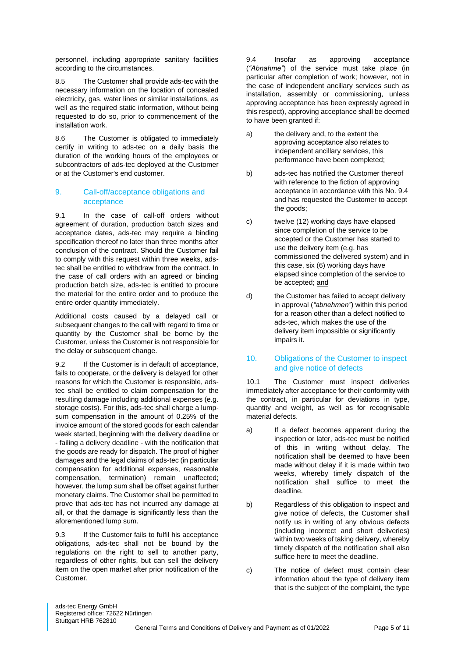personnel, including appropriate sanitary facilities according to the circumstances.

8.5 The Customer shall provide ads-tec with the necessary information on the location of concealed electricity, gas, water lines or similar installations, as well as the required static information, without being requested to do so, prior to commencement of the installation work.

8.6 The Customer is obligated to immediately certify in writing to ads-tec on a daily basis the duration of the working hours of the employees or subcontractors of ads-tec deployed at the Customer or at the Customer's end customer.

### 9. Call-off/acceptance obligations and acceptance

9.1 In the case of call-off orders without agreement of duration, production batch sizes and acceptance dates, ads-tec may require a binding specification thereof no later than three months after conclusion of the contract. Should the Customer fail to comply with this request within three weeks, adstec shall be entitled to withdraw from the contract. In the case of call orders with an agreed or binding production batch size, ads-tec is entitled to procure the material for the entire order and to produce the entire order quantity immediately.

Additional costs caused by a delayed call or subsequent changes to the call with regard to time or quantity by the Customer shall be borne by the Customer, unless the Customer is not responsible for the delay or subsequent change.

9.2 If the Customer is in default of acceptance. fails to cooperate, or the delivery is delayed for other reasons for which the Customer is responsible, adstec shall be entitled to claim compensation for the resulting damage including additional expenses (e.g. storage costs). For this, ads-tec shall charge a lumpsum compensation in the amount of 0.25% of the invoice amount of the stored goods for each calendar week started, beginning with the delivery deadline or - failing a delivery deadline - with the notification that the goods are ready for dispatch. The proof of higher damages and the legal claims of ads-tec (in particular compensation for additional expenses, reasonable compensation, termination) remain unaffected; however, the lump sum shall be offset against further monetary claims. The Customer shall be permitted to prove that ads-tec has not incurred any damage at all, or that the damage is significantly less than the aforementioned lump sum.

9.3 If the Customer fails to fulfil his acceptance obligations, ads-tec shall not be bound by the regulations on the right to sell to another party, regardless of other rights, but can sell the delivery item on the open market after prior notification of the Customer.

9.4 Insofar as approving acceptance (*"Abnahme"*) of the service must take place (in particular after completion of work; however, not in the case of independent ancillary services such as installation, assembly or commissioning, unless approving acceptance has been expressly agreed in this respect), approving acceptance shall be deemed to have been granted if:

- a) the delivery and, to the extent the approving acceptance also relates to independent ancillary services, this performance have been completed;
- b) ads-tec has notified the Customer thereof with reference to the fiction of approving acceptance in accordance with this No. 9.4 and has requested the Customer to accept the goods;
- c) twelve (12) working days have elapsed since completion of the service to be accepted or the Customer has started to use the delivery item (e.g. has commissioned the delivered system) and in this case, six (6) working days have elapsed since completion of the service to be accepted; and
- d) the Customer has failed to accept delivery in approval (*"abnehmen"*) within this period for a reason other than a defect notified to ads-tec, which makes the use of the delivery item impossible or significantly impairs it.
- 10. Obligations of the Customer to inspect and give notice of defects

10.1 The Customer must inspect deliveries immediately after acceptance for their conformity with the contract, in particular for deviations in type, quantity and weight, as well as for recognisable material defects.

- a) If a defect becomes apparent during the inspection or later, ads-tec must be notified of this in writing without delay. The notification shall be deemed to have been made without delay if it is made within two weeks, whereby timely dispatch of the notification shall suffice to meet the deadline.
- b) Regardless of this obligation to inspect and give notice of defects, the Customer shall notify us in writing of any obvious defects (including incorrect and short deliveries) within two weeks of taking delivery, whereby timely dispatch of the notification shall also suffice here to meet the deadline.
- c) The notice of defect must contain clear information about the type of delivery item that is the subject of the complaint, the type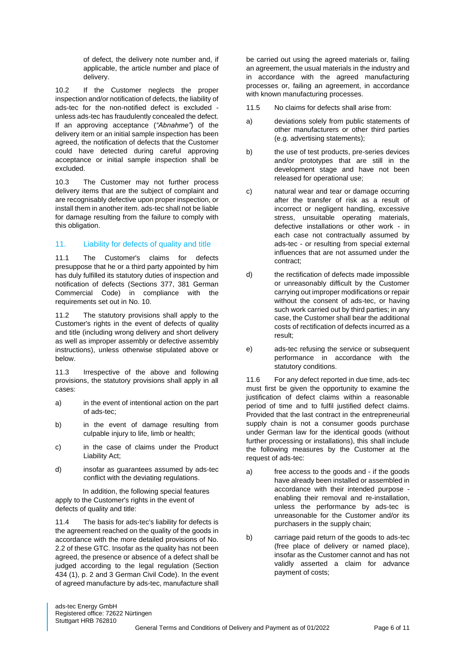of defect, the delivery note number and, if applicable, the article number and place of delivery.

10.2 If the Customer neglects the proper inspection and/or notification of defects, the liability of ads-tec for the non-notified defect is excluded unless ads-tec has fraudulently concealed the defect. If an approving acceptance (*"Abnahme"*) of the delivery item or an initial sample inspection has been agreed, the notification of defects that the Customer could have detected during careful approving acceptance or initial sample inspection shall be excluded.

10.3 The Customer may not further process delivery items that are the subject of complaint and are recognisably defective upon proper inspection, or install them in another item. ads-tec shall not be liable for damage resulting from the failure to comply with this obligation.

# 11. Liability for defects of quality and title

11.1 The Customer's claims for defects presuppose that he or a third party appointed by him has duly fulfilled its statutory duties of inspection and notification of defects (Sections 377, 381 German Commercial Code) in compliance with the requirements set out in No. 10.

11.2 The statutory provisions shall apply to the Customer's rights in the event of defects of quality and title (including wrong delivery and short delivery as well as improper assembly or defective assembly instructions), unless otherwise stipulated above or below.

11.3 Irrespective of the above and following provisions, the statutory provisions shall apply in all cases:

- a) in the event of intentional action on the part of ads-tec;
- b) in the event of damage resulting from culpable injury to life, limb or health;
- c) in the case of claims under the Product Liability Act;
- d) insofar as guarantees assumed by ads-tec conflict with the deviating regulations.

In addition, the following special features apply to the Customer's rights in the event of defects of quality and title:

11.4 The basis for ads-tec's liability for defects is the agreement reached on the quality of the goods in accordance with the more detailed provisions of No. 2.2 of these GTC. Insofar as the quality has not been agreed, the presence or absence of a defect shall be judged according to the legal regulation (Section 434 (1), p. 2 and 3 German Civil Code). In the event of agreed manufacture by ads-tec, manufacture shall be carried out using the agreed materials or, failing an agreement, the usual materials in the industry and in accordance with the agreed manufacturing processes or, failing an agreement, in accordance with known manufacturing processes.

- 11.5 No claims for defects shall arise from:
- a) deviations solely from public statements of other manufacturers or other third parties (e.g. advertising statements);
- b) the use of test products, pre-series devices and/or prototypes that are still in the development stage and have not been released for operational use;
- c) natural wear and tear or damage occurring after the transfer of risk as a result of incorrect or negligent handling, excessive stress, unsuitable operating materials, defective installations or other work - in each case not contractually assumed by ads-tec - or resulting from special external influences that are not assumed under the contract;
- d) the rectification of defects made impossible or unreasonably difficult by the Customer carrying out improper modifications or repair without the consent of ads-tec, or having such work carried out by third parties; in any case, the Customer shall bear the additional costs of rectification of defects incurred as a result;
- e) ads-tec refusing the service or subsequent performance in accordance with the statutory conditions.

11.6 For any defect reported in due time, ads-tec must first be given the opportunity to examine the justification of defect claims within a reasonable period of time and to fulfil justified defect claims. Provided that the last contract in the entrepreneurial supply chain is not a consumer goods purchase under German law for the identical goods (without further processing or installations), this shall include the following measures by the Customer at the request of ads-tec:

- a) free access to the goods and if the goods have already been installed or assembled in accordance with their intended purpose enabling their removal and re-installation, unless the performance by ads-tec is unreasonable for the Customer and/or its purchasers in the supply chain;
- b) carriage paid return of the goods to ads-tec (free place of delivery or named place), insofar as the Customer cannot and has not validly asserted a claim for advance payment of costs;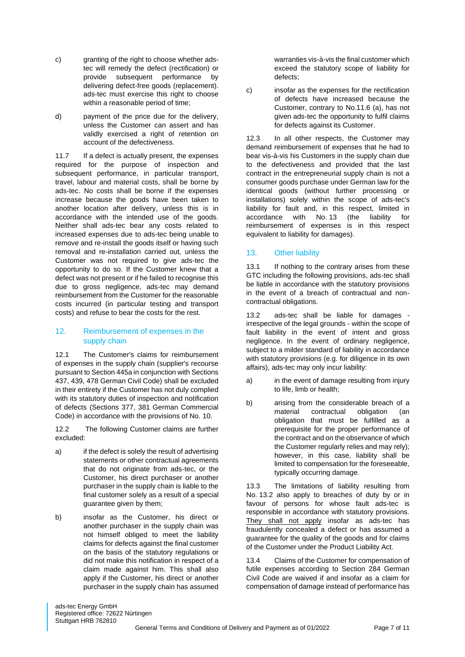- c) granting of the right to choose whether adstec will remedy the defect (rectification) or provide subsequent performance by delivering defect-free goods (replacement). ads-tec must exercise this right to choose within a reasonable period of time;
- d) payment of the price due for the delivery, unless the Customer can assert and has validly exercised a right of retention on account of the defectiveness.

11.7 If a defect is actually present, the expenses required for the purpose of inspection and subsequent performance, in particular transport, travel, labour and material costs, shall be borne by ads-tec. No costs shall be borne if the expenses increase because the goods have been taken to another location after delivery, unless this is in accordance with the intended use of the goods. Neither shall ads-tec bear any costs related to increased expenses due to ads-tec being unable to remove and re-install the goods itself or having such removal and re-installation carried out, unless the Customer was not required to give ads-tec the opportunity to do so. If the Customer knew that a defect was not present or if he failed to recognise this due to gross negligence, ads-tec may demand reimbursement from the Customer for the reasonable costs incurred (in particular testing and transport costs) and refuse to bear the costs for the rest.

## 12. Reimbursement of expenses in the supply chain

12.1 The Customer's claims for reimbursement of expenses in the supply chain (supplier's recourse pursuant to Section 445a in conjunction with Sections 437, 439, 478 German Civil Code) shall be excluded in their entirety if the Customer has not duly complied with its statutory duties of inspection and notification of defects (Sections 377, 381 German Commercial Code) in accordance with the provisions of No. 10.

12.2 The following Customer claims are further excluded:

- a) if the defect is solely the result of advertising statements or other contractual agreements that do not originate from ads-tec, or the Customer, his direct purchaser or another purchaser in the supply chain is liable to the final customer solely as a result of a special quarantee given by them:
- b) insofar as the Customer, his direct or another purchaser in the supply chain was not himself obliged to meet the liability claims for defects against the final customer on the basis of the statutory regulations or did not make this notification in respect of a claim made against him. This shall also apply if the Customer, his direct or another purchaser in the supply chain has assumed

warranties vis-à-vis the final customer which exceed the statutory scope of liability for defects;

c) insofar as the expenses for the rectification of defects have increased because the Customer, contrary to No.11.6 (a), has not given ads-tec the opportunity to fulfil claims for defects against its Customer.

12.3 In all other respects, the Customer may demand reimbursement of expenses that he had to bear vis-à-vis his Customers in the supply chain due to the defectiveness and provided that the last contract in the entrepreneurial supply chain is not a consumer goods purchase under German law for the identical goods (without further processing or installations) solely within the scope of ads-tec's liability for fault and, in this respect, limited in accordance with No. 13 (the liability for reimbursement of expenses is in this respect equivalent to liability for damages).

# 13. Other liability

13.1 If nothing to the contrary arises from these GTC including the following provisions, ads-tec shall be liable in accordance with the statutory provisions in the event of a breach of contractual and noncontractual obligations.

13.2 ads-tec shall be liable for damages irrespective of the legal grounds - within the scope of fault liability in the event of intent and gross negligence. In the event of ordinary negligence, subject to a milder standard of liability in accordance with statutory provisions (e.g. for diligence in its own affairs), ads-tec may only incur liability:

- a) in the event of damage resulting from injury to life, limb or health;
- b) arising from the considerable breach of a material contractual obligation (an obligation that must be fulfilled as a prerequisite for the proper performance of the contract and on the observance of which the Customer regularly relies and may rely); however, in this case, liability shall be limited to compensation for the foreseeable, typically occurring damage.

13.3 The limitations of liability resulting from No. 13.2 also apply to breaches of duty by or in favour of persons for whose fault ads-tec is responsible in accordance with statutory provisions. They shall not apply insofar as ads-tec has fraudulently concealed a defect or has assumed a guarantee for the quality of the goods and for claims of the Customer under the Product Liability Act.

13.4 Claims of the Customer for compensation of futile expenses according to Section 284 German Civil Code are waived if and insofar as a claim for compensation of damage instead of performance has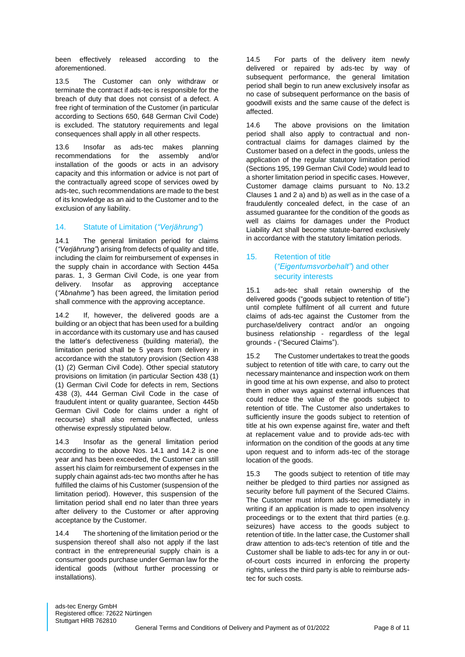been effectively released according to the aforementioned.

13.5 The Customer can only withdraw or terminate the contract if ads-tec is responsible for the breach of duty that does not consist of a defect. A free right of termination of the Customer (in particular according to Sections 650, 648 German Civil Code) is excluded. The statutory requirements and legal consequences shall apply in all other respects.

13.6 Insofar as ads-tec makes planning recommendations for the assembly and/or installation of the goods or acts in an advisory capacity and this information or advice is not part of the contractually agreed scope of services owed by ads-tec, such recommendations are made to the best of its knowledge as an aid to the Customer and to the exclusion of any liability.

## 14. Statute of Limitation (*"Verjährung"*)

14.1 The general limitation period for claims (*"Verjährung"*) arising from defects of quality and title, including the claim for reimbursement of expenses in the supply chain in accordance with Section 445a paras. 1, 3 German Civil Code, is one year from delivery. Insofar as approving acceptance (*"Abnahme"*) has been agreed, the limitation period shall commence with the approving acceptance.

14.2 If, however, the delivered goods are a building or an object that has been used for a building in accordance with its customary use and has caused the latter's defectiveness (building material), the limitation period shall be 5 years from delivery in accordance with the statutory provision (Section 438 (1) (2) German Civil Code). Other special statutory provisions on limitation (in particular Section 438 (1) (1) German Civil Code for defects in rem, Sections 438 (3), 444 German Civil Code in the case of fraudulent intent or quality guarantee, Section 445b German Civil Code for claims under a right of recourse) shall also remain unaffected, unless otherwise expressly stipulated below.

14.3 Insofar as the general limitation period according to the above Nos. 14.1 and 14.2 is one year and has been exceeded, the Customer can still assert his claim for reimbursement of expenses in the supply chain against ads-tec two months after he has fulfilled the claims of his Customer (suspension of the limitation period). However, this suspension of the limitation period shall end no later than three years after delivery to the Customer or after approving acceptance by the Customer.

14.4 The shortening of the limitation period or the suspension thereof shall also not apply if the last contract in the entrepreneurial supply chain is a consumer goods purchase under German law for the identical goods (without further processing or installations).

14.5 For parts of the delivery item newly delivered or repaired by ads-tec by way of subsequent performance, the general limitation period shall begin to run anew exclusively insofar as no case of subsequent performance on the basis of goodwill exists and the same cause of the defect is affected.

14.6 The above provisions on the limitation period shall also apply to contractual and noncontractual claims for damages claimed by the Customer based on a defect in the goods, unless the application of the regular statutory limitation period (Sections 195, 199 German Civil Code) would lead to a shorter limitation period in specific cases. However, Customer damage claims pursuant to No. 13.2 Clauses 1 and 2 a) and b) as well as in the case of a fraudulently concealed defect, in the case of an assumed guarantee for the condition of the goods as well as claims for damages under the Product Liability Act shall become statute-barred exclusively in accordance with the statutory limitation periods.

## 15. Retention of title (*"Eigentumsvorbehalt"*) and other security interests

15.1 ads-tec shall retain ownership of the delivered goods ("goods subject to retention of title") until complete fulfilment of all current and future claims of ads-tec against the Customer from the purchase/delivery contract and/or an ongoing business relationship - regardless of the legal grounds - ("Secured Claims").

15.2 The Customer undertakes to treat the goods subject to retention of title with care, to carry out the necessary maintenance and inspection work on them in good time at his own expense, and also to protect them in other ways against external influences that could reduce the value of the goods subject to retention of title. The Customer also undertakes to sufficiently insure the goods subject to retention of title at his own expense against fire, water and theft at replacement value and to provide ads-tec with information on the condition of the goods at any time upon request and to inform ads-tec of the storage location of the goods.

15.3 The goods subject to retention of title may neither be pledged to third parties nor assigned as security before full payment of the Secured Claims. The Customer must inform ads-tec immediately in writing if an application is made to open insolvency proceedings or to the extent that third parties (e.g. seizures) have access to the goods subject to retention of title. In the latter case, the Customer shall draw attention to ads-tec's retention of title and the Customer shall be liable to ads-tec for any in or outof-court costs incurred in enforcing the property rights, unless the third party is able to reimburse adstec for such costs.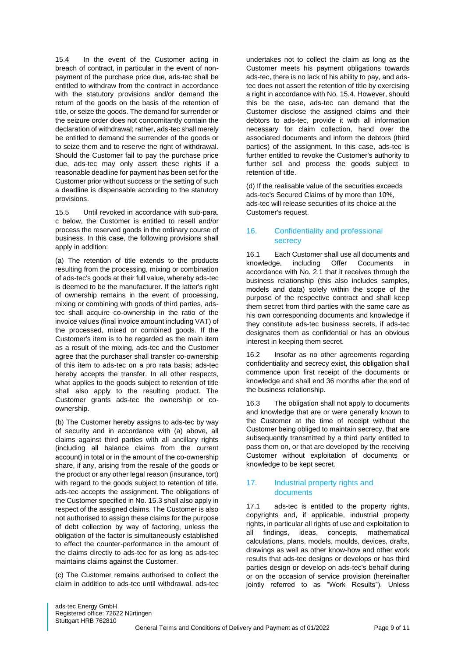15.4 In the event of the Customer acting in breach of contract, in particular in the event of nonpayment of the purchase price due, ads-tec shall be entitled to withdraw from the contract in accordance with the statutory provisions and/or demand the return of the goods on the basis of the retention of title, or seize the goods. The demand for surrender or the seizure order does not concomitantly contain the declaration of withdrawal; rather, ads-tec shall merely be entitled to demand the surrender of the goods or to seize them and to reserve the right of withdrawal. Should the Customer fail to pay the purchase price due, ads-tec may only assert these rights if a reasonable deadline for payment has been set for the Customer prior without success or the setting of such a deadline is dispensable according to the statutory provisions.

15.5 Until revoked in accordance with sub-para. c below, the Customer is entitled to resell and/or process the reserved goods in the ordinary course of business. In this case, the following provisions shall apply in addition:

(a) The retention of title extends to the products resulting from the processing, mixing or combination of ads-tec's goods at their full value, whereby ads-tec is deemed to be the manufacturer. If the latter's right of ownership remains in the event of processing, mixing or combining with goods of third parties, adstec shall acquire co-ownership in the ratio of the invoice values (final invoice amount including VAT) of the processed, mixed or combined goods. If the Customer's item is to be regarded as the main item as a result of the mixing, ads-tec and the Customer agree that the purchaser shall transfer co-ownership of this item to ads-tec on a pro rata basis; ads-tec hereby accepts the transfer. In all other respects, what applies to the goods subject to retention of title shall also apply to the resulting product. The Customer grants ads-tec the ownership or coownership.

(b) The Customer hereby assigns to ads-tec by way of security and in accordance with (a) above, all claims against third parties with all ancillary rights (including all balance claims from the current account) in total or in the amount of the co-ownership share, if any, arising from the resale of the goods or the product or any other legal reason (insurance, tort) with regard to the goods subject to retention of title. ads-tec accepts the assignment. The obligations of the Customer specified in No. 15.3 shall also apply in respect of the assigned claims. The Customer is also not authorised to assign these claims for the purpose of debt collection by way of factoring, unless the obligation of the factor is simultaneously established to effect the counter-performance in the amount of the claims directly to ads-tec for as long as ads-tec maintains claims against the Customer.

(c) The Customer remains authorised to collect the claim in addition to ads-tec until withdrawal. ads-tec undertakes not to collect the claim as long as the Customer meets his payment obligations towards ads-tec, there is no lack of his ability to pay, and adstec does not assert the retention of title by exercising a right in accordance with No. 15.4. However, should this be the case, ads-tec can demand that the Customer disclose the assigned claims and their debtors to ads-tec, provide it with all information necessary for claim collection, hand over the associated documents and inform the debtors (third parties) of the assignment. In this case, ads-tec is further entitled to revoke the Customer's authority to further sell and process the goods subject to retention of title.

(d) If the realisable value of the securities exceeds ads-tec's Secured Claims of by more than 10%, ads-tec will release securities of its choice at the Customer's request.

# 16. Confidentiality and professional secrecy

16.1 Each Customer shall use all documents and knowledge, including Offer Cocuments in accordance with No. 2.1 that it receives through the business relationship (this also includes samples, models and data) solely within the scope of the purpose of the respective contract and shall keep them secret from third parties with the same care as his own corresponding documents and knowledge if they constitute ads-tec business secrets, if ads-tec designates them as confidential or has an obvious interest in keeping them secret.

16.2 Insofar as no other agreements regarding confidentiality and secrecy exist, this obligation shall commence upon first receipt of the documents or knowledge and shall end 36 months after the end of the business relationship.

16.3 The obligation shall not apply to documents and knowledge that are or were generally known to the Customer at the time of receipt without the Customer being obliged to maintain secrecy, that are subsequently transmitted by a third party entitled to pass them on, or that are developed by the receiving Customer without exploitation of documents or knowledge to be kept secret.

# 17. Industrial property rights and documents

17.1 ads-tec is entitled to the property rights, copyrights and, if applicable, industrial property rights, in particular all rights of use and exploitation to all findings, ideas, concepts, mathematical calculations, plans, models, moulds, devices, drafts, drawings as well as other know-how and other work results that ads-tec designs or develops or has third parties design or develop on ads-tec's behalf during or on the occasion of service provision (hereinafter jointly referred to as "Work Results"). Unless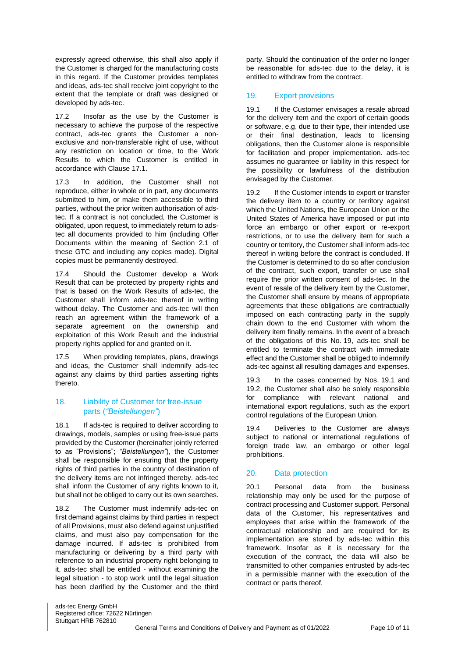expressly agreed otherwise, this shall also apply if the Customer is charged for the manufacturing costs in this regard. If the Customer provides templates and ideas, ads-tec shall receive joint copyright to the extent that the template or draft was designed or developed by ads-tec.

17.2 Insofar as the use by the Customer is necessary to achieve the purpose of the respective contract, ads-tec grants the Customer a nonexclusive and non-transferable right of use, without any restriction on location or time, to the Work Results to which the Customer is entitled in accordance with Clause 17.1.

17.3 In addition, the Customer shall not reproduce, either in whole or in part, any documents submitted to him, or make them accessible to third parties, without the prior written authorisation of adstec. If a contract is not concluded, the Customer is obligated, upon request, to immediately return to adstec all documents provided to him (including Offer Documents within the meaning of Section 2.1 of these GTC and including any copies made). Digital copies must be permanently destroyed.

17.4 Should the Customer develop a Work Result that can be protected by property rights and that is based on the Work Results of ads-tec, the Customer shall inform ads-tec thereof in writing without delay. The Customer and ads-tec will then reach an agreement within the framework of a separate agreement on the ownership and exploitation of this Work Result and the industrial property rights applied for and granted on it.

17.5 When providing templates, plans, drawings and ideas, the Customer shall indemnify ads-tec against any claims by third parties asserting rights thereto.

## 18. Liability of Customer for free-issue parts (*"Beistellungen"*)

18.1 If ads-tec is required to deliver according to drawings, models, samples or using free-issue parts provided by the Customer (hereinafter jointly referred to as "Provisions"; *"Beistellungen"*), the Customer shall be responsible for ensuring that the property rights of third parties in the country of destination of the delivery items are not infringed thereby. ads-tec shall inform the Customer of any rights known to it. but shall not be obliged to carry out its own searches.

18.2 The Customer must indemnify ads-tec on first demand against claims by third parties in respect of all Provisions, must also defend against unjustified claims, and must also pay compensation for the damage incurred. If ads-tec is prohibited from manufacturing or delivering by a third party with reference to an industrial property right belonging to it, ads-tec shall be entitled - without examining the legal situation - to stop work until the legal situation has been clarified by the Customer and the third party. Should the continuation of the order no longer be reasonable for ads-tec due to the delay, it is entitled to withdraw from the contract.

# 19. Export provisions

19.1 If the Customer envisages a resale abroad for the delivery item and the export of certain goods or software, e.g. due to their type, their intended use or their final destination, leads to licensing obligations, then the Customer alone is responsible for facilitation and proper implementation. ads-tec assumes no guarantee or liability in this respect for the possibility or lawfulness of the distribution envisaged by the Customer.

19.2 If the Customer intends to export or transfer the delivery item to a country or territory against which the United Nations, the European Union or the United States of America have imposed or put into force an embargo or other export or re-export restrictions, or to use the delivery item for such a country or territory, the Customer shall inform ads-tec thereof in writing before the contract is concluded. If the Customer is determined to do so after conclusion of the contract, such export, transfer or use shall require the prior written consent of ads-tec. In the event of resale of the delivery item by the Customer, the Customer shall ensure by means of appropriate agreements that these obligations are contractually imposed on each contracting party in the supply chain down to the end Customer with whom the delivery item finally remains. In the event of a breach of the obligations of this No. 19, ads-tec shall be entitled to terminate the contract with immediate effect and the Customer shall be obliged to indemnify ads-tec against all resulting damages and expenses.

19.3 In the cases concerned by Nos. 19.1 and 19.2, the Customer shall also be solely responsible for compliance with relevant national and international export regulations, such as the export control regulations of the European Union.

19.4 Deliveries to the Customer are always subject to national or international regulations of foreign trade law, an embargo or other legal prohibitions.

# 20. Data protection

20.1 Personal data from the business relationship may only be used for the purpose of contract processing and Customer support. Personal data of the Customer, his representatives and employees that arise within the framework of the contractual relationship and are required for its implementation are stored by ads-tec within this framework. Insofar as it is necessary for the execution of the contract, the data will also be transmitted to other companies entrusted by ads-tec in a permissible manner with the execution of the contract or parts thereof.